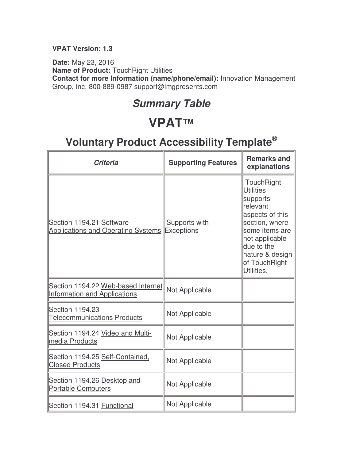#### **VPAT Version: 1.3**

**Date:** May 23, 2016 **Name of Product:** TouchRight Utilities **Contact for more Information (name/phone/email):** Innovation Management Group, Inc. 800-889-0987 support@imgpresents.com

#### **Summary Table**

### **VPAT™**

| <b>Criteria</b>                                                           | <b>Supporting Features</b>         | <b>Remarks and</b><br>explanations                                                                                                                                                              |
|---------------------------------------------------------------------------|------------------------------------|-------------------------------------------------------------------------------------------------------------------------------------------------------------------------------------------------|
| Section 1194.21 Software<br><b>Applications and Operating Systems</b>     | Supports with<br><b>Exceptions</b> | TouchRight<br><b>Utilities</b><br>supports<br>relevant<br>aspects of this<br>section, where<br>some items are<br>not applicable<br>due to the<br>nature & design<br>of TouchRight<br>Utilities. |
| Section 1194.22 Web-based Internet<br><b>Information and Applications</b> | Not Applicable                     |                                                                                                                                                                                                 |
| Section 1194.23<br><b>Telecommunications Products</b>                     | Not Applicable                     |                                                                                                                                                                                                 |
| Section 1194.24 Video and Multi-<br>media Products                        | Not Applicable                     |                                                                                                                                                                                                 |
| Section 1194.25 Self-Contained,<br><b>Closed Products</b>                 | Not Applicable                     |                                                                                                                                                                                                 |
| Section 1194.26 Desktop and<br><b>Portable Computers</b>                  | Not Applicable                     |                                                                                                                                                                                                 |
| Section 1194.31 Functional                                                | Not Applicable                     |                                                                                                                                                                                                 |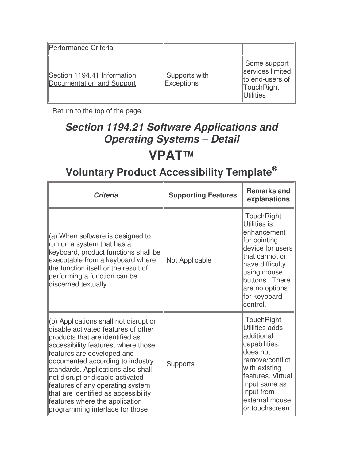| Performance Criteria                                      |                             |                                                                                        |
|-----------------------------------------------------------|-----------------------------|----------------------------------------------------------------------------------------|
| Section 1194.41 Information,<br>Documentation and Support | Supports with<br>Exceptions | Some support<br>services limited<br>to end-users of<br>TouchRight<br><b>IUtilities</b> |

## **Section 1194.21 Software Applications and Operating Systems – Detail VPAT™**

| <b>Criteria</b>                                                                                                                                                                                                                                                                                                                                                                                                                                     | <b>Supporting Features</b> | <b>Remarks and</b><br>explanations                                                                                                                                                                   |
|-----------------------------------------------------------------------------------------------------------------------------------------------------------------------------------------------------------------------------------------------------------------------------------------------------------------------------------------------------------------------------------------------------------------------------------------------------|----------------------------|------------------------------------------------------------------------------------------------------------------------------------------------------------------------------------------------------|
| $\vert$ (a) When software is designed to<br>run on a system that has a<br>keyboard, product functions shall be<br>executable from a keyboard where<br>the function itself or the result of<br>performing a function can be<br>discerned textually.                                                                                                                                                                                                  | Not Applicable             | TouchRight<br>Utilities is<br>lenhancement<br>for pointing<br>device for users<br>that cannot or<br>have difficulty<br>using mouse<br>buttons. There<br>are no options<br>for keyboard<br>control.   |
| (b) Applications shall not disrupt or<br>disable activated features of other<br>products that are identified as<br>accessibility features, where those<br>features are developed and<br>documented according to industry<br>standards. Applications also shall<br>not disrupt or disable activated<br>features of any operating system<br>that are identified as accessibility<br>features where the application<br>programming interface for those | <b>Supports</b>            | TouchRight<br>Utilities adds<br>ladditional<br>capabilities,<br>does not<br>remove/conflict<br>with existing<br>features. Virtual<br>input same as<br>input from<br>external mouse<br>or touchscreen |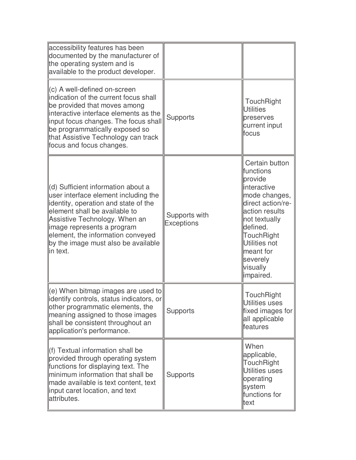| accessibility features has been<br>documented by the manufacturer of<br>the operating system and is<br>available to the product developer.                                                                                                                                                                    |                                    |                                                                                                                                                                                                                              |
|---------------------------------------------------------------------------------------------------------------------------------------------------------------------------------------------------------------------------------------------------------------------------------------------------------------|------------------------------------|------------------------------------------------------------------------------------------------------------------------------------------------------------------------------------------------------------------------------|
| $\parallel$ (c) A well-defined on-screen<br>indication of the current focus shall<br>be provided that moves among<br>interactive interface elements as the<br>input focus changes. The focus shall<br>be programmatically exposed so<br>that Assistive Technology can track<br>focus and focus changes.       | <b>Supports</b>                    | TouchRight<br>Utilities<br>preserves<br>current input<br>lfocus                                                                                                                                                              |
| (d) Sufficient information about a<br>user interface element including the<br>lidentity, operation and state of the<br>element shall be available to<br>Assistive Technology. When an<br>limage represents a program<br>element, the information conveyed<br>by the image must also be available<br>lin text. | Supports with<br><b>Exceptions</b> | Certain button<br>functions<br>provide<br>interactive<br>mode changes,<br>direct action/re-<br>action results<br>not textually<br>ldefined.<br>TouchRight<br>Utilities not<br>meant for<br>severely<br>visually<br>impaired. |
| $(e)$ When bitmap images are used to<br>lidentify controls, status indicators, or<br>other programmatic elements, the<br>meaning assigned to those images<br>shall be consistent throughout an<br>application's performance.                                                                                  | <b>Supports</b>                    | TouchRight<br>Utilities uses<br>fixed images for<br>all applicable<br>lfeatures                                                                                                                                              |
| $\parallel$ (f) Textual information shall be<br>provided through operating system<br>functions for displaying text. The<br>minimum information that shall be<br>made available is text content, text<br>linput caret location, and text<br>lattributes.                                                       | <b>Supports</b>                    | When<br>applicable,<br>TouchRight<br>Utilities uses<br>operating<br>system<br>functions for<br>ltext                                                                                                                         |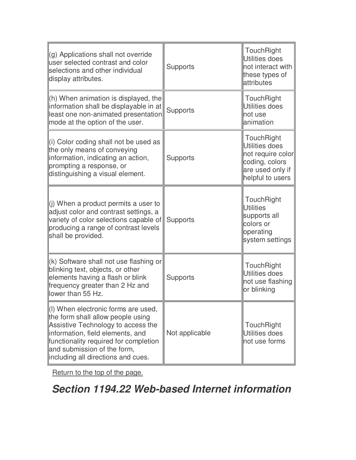| (g) Applications shall not override<br>user selected contrast and color<br>selections and other individual<br>display attributes.                                                                                                                                            | <b>Supports</b> | TouchRight<br>Utilities does<br>not interact with<br>these types of<br>attributes                           |
|------------------------------------------------------------------------------------------------------------------------------------------------------------------------------------------------------------------------------------------------------------------------------|-----------------|-------------------------------------------------------------------------------------------------------------|
| (h) When animation is displayed, the<br>information shall be displayable in at<br>least one non-animated presentation<br>mode at the option of the user.                                                                                                                     | <b>Supports</b> | TouchRight<br>Utilities does<br>not use<br>lanimation                                                       |
| (i) Color coding shall not be used as<br>the only means of conveying<br>information, indicating an action,<br>prompting a response, or<br>distinguishing a visual element.                                                                                                   | <b>Supports</b> | TouchRight<br>Utilities does<br>not require color<br>coding, colors<br>are used only if<br>helpful to users |
| (i) When a product permits a user to<br>adjust color and contrast settings, a<br>variety of color selections capable of<br>producing a range of contrast levels<br>shall be provided.                                                                                        | <b>Supports</b> | TouchRight<br><b>Utilities</b><br>supports all<br>colors or<br>operating<br>system settings                 |
| (k) Software shall not use flashing or<br>blinking text, objects, or other<br>elements having a flash or blink<br>frequency greater than 2 Hz and<br>lower than 55 Hz.                                                                                                       | <b>Supports</b> | <b>TouchRight</b><br><b>Utilities does</b><br>not use flashing<br>or blinking                               |
| $\parallel$ (I) When electronic forms are used,<br>the form shall allow people using<br>Assistive Technology to access the<br>information, field elements, and<br>functionality required for completion<br>and submission of the form,<br>including all directions and cues. | Not applicable  | TouchRight<br>Utilities does<br>not use forms                                                               |

**Section 1194.22 Web-based Internet information**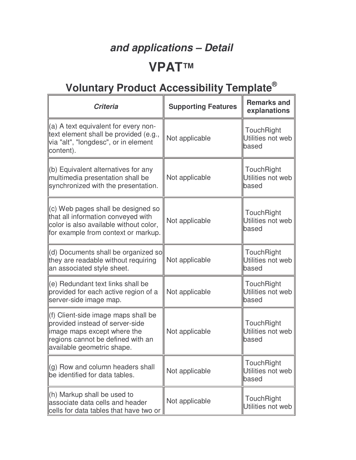# **and applications – Detail VPAT™**

| <b>Criteria</b>                                                                                                                                                          | <b>Supporting Features</b> | <b>Remarks and</b><br>explanations              |
|--------------------------------------------------------------------------------------------------------------------------------------------------------------------------|----------------------------|-------------------------------------------------|
| (a) A text equivalent for every non-<br>text element shall be provided (e.g.,<br>via "alt", "longdesc", or in element<br>content).                                       | Not applicable             | <b>TouchRight</b><br>Utilities not web<br>based |
| (b) Equivalent alternatives for any<br>multimedia presentation shall be<br>synchronized with the presentation.                                                           | Not applicable             | <b>TouchRight</b><br>Utilities not web<br>based |
| (c) Web pages shall be designed so<br>that all information conveyed with<br>color is also available without color,<br>for example from context or markup.                | Not applicable             | <b>TouchRight</b><br>Utilities not web<br>based |
| (d) Documents shall be organized so<br>they are readable without requiring<br>an associated style sheet.                                                                 | Not applicable             | TouchRight<br>Utilities not web<br>based        |
| (e) Redundant text links shall be<br>provided for each active region of a<br>server-side image map.                                                                      | Not applicable             | TouchRight<br>Utilities not web<br>based        |
| (f) Client-side image maps shall be<br>provided instead of server-side<br>image maps except where the<br>regions cannot be defined with an<br>available geometric shape. | Not applicable             | TouchRight<br>Utilities not web<br>based        |
| (g) Row and column headers shall<br>be identified for data tables.                                                                                                       | Not applicable             | TouchRight<br>Utilities not web<br>based        |
| (h) Markup shall be used to<br>associate data cells and header<br>cells for data tables that have two or                                                                 | Not applicable             | TouchRight<br>Utilities not web                 |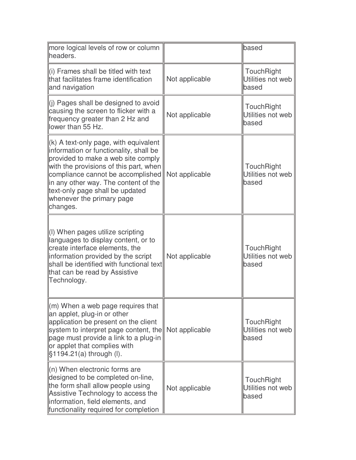| more logical levels of row or column<br>headers.                                                                                                                                                                                                                                                                           |                | based                                    |
|----------------------------------------------------------------------------------------------------------------------------------------------------------------------------------------------------------------------------------------------------------------------------------------------------------------------------|----------------|------------------------------------------|
| (i) Frames shall be titled with text<br>that facilitates frame identification<br>and navigation                                                                                                                                                                                                                            | Not applicable | TouchRight<br>Utilities not web<br>based |
| (j) Pages shall be designed to avoid<br>causing the screen to flicker with a<br>frequency greater than 2 Hz and<br>lower than 55 Hz.                                                                                                                                                                                       | Not applicable | TouchRight<br>Utilities not web<br>based |
| $(k)$ A text-only page, with equivalent<br>information or functionality, shall be<br>provided to make a web site comply<br>with the provisions of this part, when<br>compliance cannot be accomplished<br>in any other way. The content of the<br>text-only page shall be updated<br>whenever the primary page<br>changes. | Not applicable | TouchRight<br>Utilities not web<br>based |
| (I) When pages utilize scripting<br>languages to display content, or to<br>create interface elements, the<br>information provided by the script<br>shall be identified with functional text<br>that can be read by Assistive<br>Technology.                                                                                | Not applicable | TouchRight<br>Utilities not web<br>based |
| $\mathsf{m}$ ) When a web page requires that<br>an applet, plug-in or other<br>application be present on the client<br>system to interpret page content, the<br>page must provide a link to a plug-in<br>or applet that complies with<br>$$1194.21(a)$ through (I).                                                        | Not applicable | TouchRight<br>Utilities not web<br>based |
| $(n)$ When electronic forms are<br>designed to be completed on-line,<br>the form shall allow people using<br>Assistive Technology to access the<br>information, field elements, and<br>functionality required for completion                                                                                               | Not applicable | TouchRight<br>Utilities not web<br>based |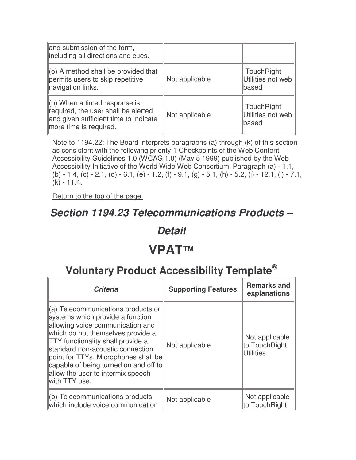| and submission of the form,<br>lincluding all directions and cues.                                                                                 |                |                                                 |
|----------------------------------------------------------------------------------------------------------------------------------------------------|----------------|-------------------------------------------------|
| $\parallel$ (o) A method shall be provided that<br>permits users to skip repetitive<br>navigation links.                                           | Not applicable | <b>TouchRight</b><br>Utilities not web<br>based |
| $\parallel$ (p) When a timed response is<br>required, the user shall be alerted<br>and given sufficient time to indicate<br>more time is required. | Not applicable | <b>TouchRight</b><br>Utilities not web<br>based |

Note to 1194.22: The Board interprets paragraphs (a) through (k) of this section as consistent with the following priority 1 Checkpoints of the Web Content Accessibility Guidelines 1.0 (WCAG 1.0) (May 5 1999) published by the Web Accessibility Initiative of the World Wide Web Consortium: Paragraph (a) - 1.1, (b) - 1.4, (c) - 2.1, (d) - 6.1, (e) - 1.2, (f) - 9.1, (g) - 5.1, (h) - 5.2, (i) - 12.1, (j) - 7.1, (k) - 11.4.

Return to the top of the page.

#### **Section 1194.23 Telecommunications Products –**

#### **Detail**

## **VPAT™**

| <b>Criteria</b>                                                                                                                                                                                                                                                                                                                                                        | <b>Supporting Features</b> | <b>Remarks and</b><br>explanations           |
|------------------------------------------------------------------------------------------------------------------------------------------------------------------------------------------------------------------------------------------------------------------------------------------------------------------------------------------------------------------------|----------------------------|----------------------------------------------|
| (a) Telecommunications products or<br>systems which provide a function<br>allowing voice communication and<br>which do not themselves provide a<br><b>TTY</b> functionality shall provide a<br>standard non-acoustic connection<br>point for TTYs. Microphones shall be<br>capable of being turned on and off to<br>allow the user to intermix speech<br>with TTY use. | Not applicable             | Not applicable<br>to TouchRight<br>Utilities |
| (b) Telecommunications products<br>which include voice communication                                                                                                                                                                                                                                                                                                   | Not applicable             | Not applicable<br>to TouchRight              |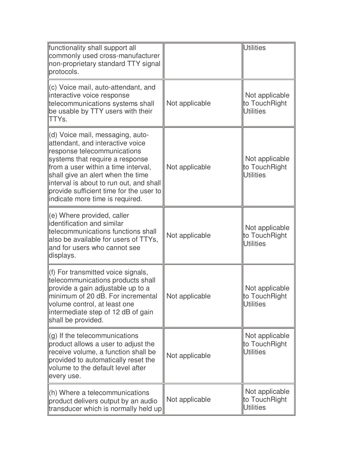| functionality shall support all<br>commonly used cross-manufacturer<br>non-proprietary standard TTY signal<br>protocols.                                                                                                                                                                                                                    |                | <b>Utilities</b>                                    |
|---------------------------------------------------------------------------------------------------------------------------------------------------------------------------------------------------------------------------------------------------------------------------------------------------------------------------------------------|----------------|-----------------------------------------------------|
| (c) Voice mail, auto-attendant, and<br>interactive voice response<br>telecommunications systems shall<br>be usable by TTY users with their<br>ITTYs.                                                                                                                                                                                        | Not applicable | Not applicable<br>to TouchRight<br><b>Utilities</b> |
| (d) Voice mail, messaging, auto-<br>attendant, and interactive voice<br>response telecommunications<br>systems that require a response<br>from a user within a time interval,<br>shall give an alert when the time<br>interval is about to run out, and shall<br>provide sufficient time for the user to<br>indicate more time is required. | Not applicable | Not applicable<br>to TouchRight<br><b>Utilities</b> |
| $(e)$ Where provided, caller<br>identification and similar<br>telecommunications functions shall<br>also be available for users of TTYs,<br>and for users who cannot see<br>displays.                                                                                                                                                       | Not applicable | Not applicable<br>to TouchRight<br><b>Utilities</b> |
| (f) For transmitted voice signals,<br>telecommunications products shall<br>provide a gain adjustable up to a<br>minimum of 20 dB. For incremental<br>volume control, at least one<br>intermediate step of 12 dB of gain<br>shall be provided.                                                                                               | Not applicable | Not applicable<br>to TouchRight<br>Utilities        |
| $\parallel$ (g) If the telecommunications<br>product allows a user to adjust the<br>receive volume, a function shall be<br>provided to automatically reset the<br>volume to the default level after<br>every use.                                                                                                                           | Not applicable | Not applicable<br>to TouchRight<br>Utilities        |
| $\ $ (h) Where a telecommunications<br>product delivers output by an audio<br>transducer which is normally held up                                                                                                                                                                                                                          | Not applicable | Not applicable<br>to TouchRight<br><b>Utilities</b> |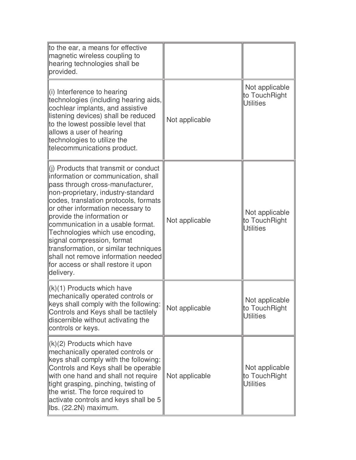| to the ear, a means for effective<br>magnetic wireless coupling to<br>hearing technologies shall be<br>provided.                                                                                                                                                                                                                                                                                                                                                                                                          |                |                                                     |
|---------------------------------------------------------------------------------------------------------------------------------------------------------------------------------------------------------------------------------------------------------------------------------------------------------------------------------------------------------------------------------------------------------------------------------------------------------------------------------------------------------------------------|----------------|-----------------------------------------------------|
| $\ $ (i) Interference to hearing<br>technologies (including hearing aids,<br>cochlear implants, and assistive<br>listening devices) shall be reduced<br>to the lowest possible level that<br>allows a user of hearing<br>technologies to utilize the<br>telecommunications product.                                                                                                                                                                                                                                       | Not applicable | Not applicable<br>to TouchRight<br>Utilities        |
| $\parallel$ (i) Products that transmit or conduct<br>information or communication, shall<br>pass through cross-manufacturer,<br>non-proprietary, industry-standard<br>codes, translation protocols, formats<br>or other information necessary to<br>provide the information or<br>communication in a usable format.<br>Technologies which use encoding,<br>signal compression, format<br>transformation, or similar techniques<br>shall not remove information needed<br>for access or shall restore it upon<br>delivery. | Not applicable | Not applicable<br>to TouchRight<br><b>Utilities</b> |
| $\vert (k)(1)$ Products which have<br>mechanically operated controls or<br>keys shall comply with the following:<br>Controls and Keys shall be tactilely<br>discernible without activating the<br>controls or keys.                                                                                                                                                                                                                                                                                                       | Not applicable | Not applicable<br>to TouchRight<br><b>Utilities</b> |
| $\ (k)(2)$ Products which have<br>mechanically operated controls or<br>keys shall comply with the following:<br>Controls and Keys shall be operable<br>with one hand and shall not require<br>tight grasping, pinching, twisting of<br>the wrist. The force required to<br>activate controls and keys shall be 5<br>Ibs. (22.2N) maximum.                                                                                                                                                                                 | Not applicable | Not applicable<br>to TouchRight<br><b>Utilities</b> |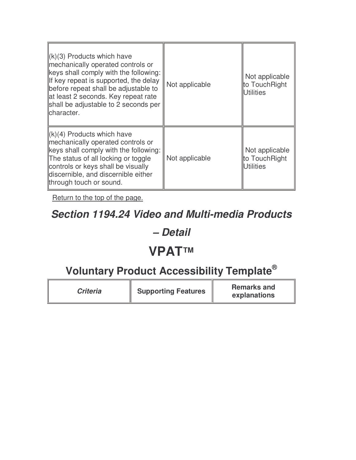| $\ (k)(3)$ Products which have<br>mechanically operated controls or<br>keys shall comply with the following:<br>If key repeat is supported, the delay<br>before repeat shall be adjustable to<br>at least 2 seconds. Key repeat rate<br>shall be adjustable to 2 seconds per<br>lcharacter. | Not applicable | Not applicable<br>to TouchRight<br>Utilities        |
|---------------------------------------------------------------------------------------------------------------------------------------------------------------------------------------------------------------------------------------------------------------------------------------------|----------------|-----------------------------------------------------|
| $\ (k)(4)$ Products which have<br>mechanically operated controls or<br>keys shall comply with the following:<br>The status of all locking or toggle<br>controls or keys shall be visually<br>discernible, and discernible either<br>through touch or sound.                                 | Not applicable | Not applicable<br>to TouchRight<br><b>Utilities</b> |

#### **Section 1194.24 Video and Multi-media Products**

#### **– Detail**

### **VPAT™**

| <b>Criteria</b> | <b>Supporting Features</b> | <b>Remarks and</b><br>explanations |
|-----------------|----------------------------|------------------------------------|
|-----------------|----------------------------|------------------------------------|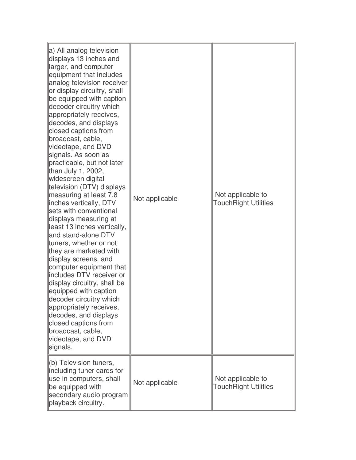| a) All analog television<br>displays 13 inches and<br>larger, and computer<br>equipment that includes<br>analog television receiver<br>or display circuitry, shall<br>be equipped with caption<br>decoder circuitry which<br>appropriately receives,<br>decodes, and displays<br>closed captions from<br>broadcast, cable,<br>videotape, and DVD<br>signals. As soon as<br>practicable, but not later<br>than July 1, 2002,<br>widescreen digital<br>television (DTV) displays<br>measuring at least 7.8<br>inches vertically, DTV<br>sets with conventional<br>displays measuring at<br>least 13 inches vertically,<br>and stand-alone DTV<br>tuners, whether or not<br>they are marketed with<br>display screens, and<br>computer equipment that<br>includes DTV receiver or<br>display circuitry, shall be<br>equipped with caption<br>decoder circuitry which<br>appropriately receives,<br>decodes, and displays<br>closed captions from<br>broadcast, cable,<br>videotape, and DVD<br>signals. | Not applicable | Not applicable to<br><b>TouchRight Utilities</b> |
|------------------------------------------------------------------------------------------------------------------------------------------------------------------------------------------------------------------------------------------------------------------------------------------------------------------------------------------------------------------------------------------------------------------------------------------------------------------------------------------------------------------------------------------------------------------------------------------------------------------------------------------------------------------------------------------------------------------------------------------------------------------------------------------------------------------------------------------------------------------------------------------------------------------------------------------------------------------------------------------------------|----------------|--------------------------------------------------|
| (b) Television tuners,<br>including tuner cards for<br>use in computers, shall<br>be equipped with<br>secondary audio program<br>playback circuitry.                                                                                                                                                                                                                                                                                                                                                                                                                                                                                                                                                                                                                                                                                                                                                                                                                                                 | Not applicable | Not applicable to<br><b>TouchRight Utilities</b> |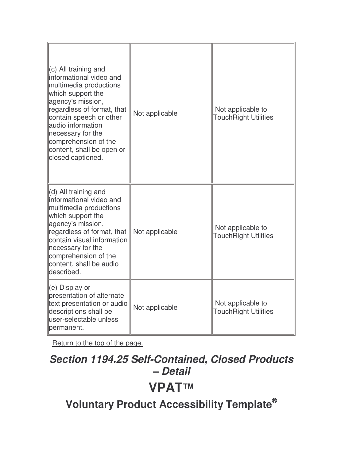| $(c)$ All training and<br>informational video and<br>multimedia productions<br>which support the<br>agency's mission,<br>regardless of format, that<br>contain speech or other<br>audio information<br>necessary for the<br>comprehension of the<br>content, shall be open or<br>closed captioned. | Not applicable | Not applicable to<br><b>TouchRight Utilities</b> |
|----------------------------------------------------------------------------------------------------------------------------------------------------------------------------------------------------------------------------------------------------------------------------------------------------|----------------|--------------------------------------------------|
| (d) All training and<br>informational video and<br>multimedia productions<br>which support the<br>agency's mission,<br>regardless of format, that<br>contain visual information<br>necessary for the<br>comprehension of the<br>content, shall be audio<br>described.                              | Not applicable | Not applicable to<br><b>TouchRight Utilities</b> |
| (e) Display or<br>presentation of alternate<br>text presentation or audio<br>descriptions shall be<br>user-selectable unless<br>permanent.                                                                                                                                                         | Not applicable | Not applicable to<br><b>TouchRight Utilities</b> |

## **Section 1194.25 Self-Contained, Closed Products – Detail VPAT™**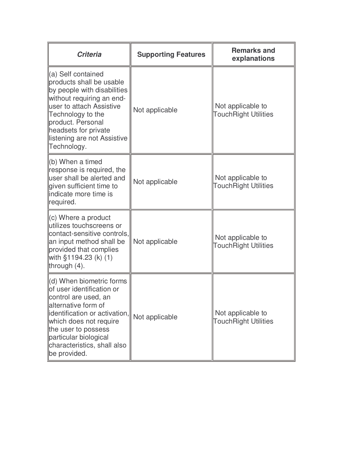| <b>Criteria</b>                                                                                                                                                                                                                                                | <b>Supporting Features</b> | <b>Remarks and</b><br>explanations               |
|----------------------------------------------------------------------------------------------------------------------------------------------------------------------------------------------------------------------------------------------------------------|----------------------------|--------------------------------------------------|
| (a) Self contained<br>products shall be usable<br>by people with disabilities<br>without requiring an end-<br>luser to attach Assistive<br>Technology to the<br>product. Personal<br>headsets for private<br>listening are not Assistive<br>Technology.        | Not applicable             | Not applicable to<br><b>TouchRight Utilities</b> |
| (b) When a timed<br>response is required, the<br>user shall be alerted and<br>given sufficient time to<br>lindicate more time is<br>required.                                                                                                                  | Not applicable             | Not applicable to<br><b>TouchRight Utilities</b> |
| (c) Where a product<br>utilizes touchscreens or<br>contact-sensitive controls,<br>an input method shall be<br>provided that complies<br>with §1194.23 (k) (1)<br>through (4).                                                                                  | Not applicable             | Not applicable to<br><b>TouchRight Utilities</b> |
| (d) When biometric forms<br>of user identification or<br>control are used, an<br>alternative form of<br>identification or activation,<br>which does not require<br>the user to possess<br>particular biological<br>characteristics, shall also<br>be provided. | Not applicable             | Not applicable to<br><b>TouchRight Utilities</b> |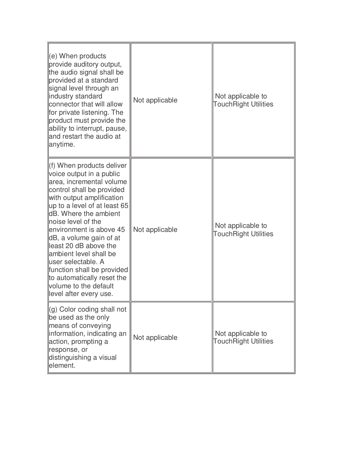| $\parallel$ (e) When products<br>provide auditory output,<br>the audio signal shall be<br>provided at a standard<br>signal level through an<br>lindustry standard<br>connector that will allow<br>for private listening. The<br>product must provide the<br>ability to interrupt, pause,<br>and restart the audio at<br>anytime.                                                                                                                                                           | Not applicable | Not applicable to<br><b>TouchRight Utilities</b> |
|--------------------------------------------------------------------------------------------------------------------------------------------------------------------------------------------------------------------------------------------------------------------------------------------------------------------------------------------------------------------------------------------------------------------------------------------------------------------------------------------|----------------|--------------------------------------------------|
| f) When products deliver<br>voice output in a public<br>area, incremental volume<br>control shall be provided<br>with output amplification<br>$\mu$ p to a level of at least 65<br><b>IdB.</b> Where the ambient<br>lnoise level of the<br>environment is above 45<br>dB, a volume gain of at<br>lleast 20 dB above the<br>llambient level shall be<br>lluser selectable. A<br>function shall be provided<br>to automatically reset the<br>volume to the default<br>level after every use. | Not applicable | Not applicable to<br><b>TouchRight Utilities</b> |
| $\left\  \begin{smallmatrix} (g) \end{smallmatrix} \right $ Color coding shall not<br>be used as the only<br>means of conveying<br>linformation, indicating an<br>action, prompting a<br>response, or<br>distinguishing a visual<br>lelement.                                                                                                                                                                                                                                              | Not applicable | Not applicable to<br><b>TouchRight Utilities</b> |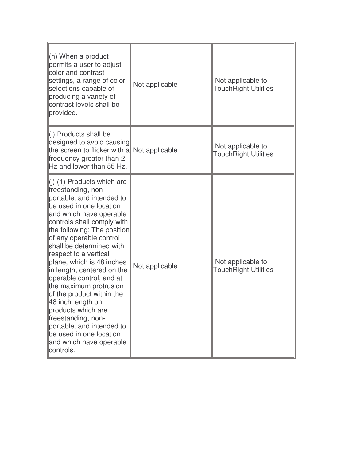| $(h)$ When a product<br>permits a user to adjust<br>color and contrast<br>settings, a range of color<br>selections capable of<br>producing a variety of<br>contrast levels shall be<br>provided.                                                                                                                                                                                                                                                                                                                                                                                                  | Not applicable | Not applicable to<br><b>TouchRight Utilities</b> |
|---------------------------------------------------------------------------------------------------------------------------------------------------------------------------------------------------------------------------------------------------------------------------------------------------------------------------------------------------------------------------------------------------------------------------------------------------------------------------------------------------------------------------------------------------------------------------------------------------|----------------|--------------------------------------------------|
| li) Products shall be<br>designed to avoid causing<br>the screen to flicker with a<br>frequency greater than 2<br>Hz and lower than 55 Hz.                                                                                                                                                                                                                                                                                                                                                                                                                                                        | Not applicable | Not applicable to<br><b>TouchRight Utilities</b> |
| $(i)$ (1) Products which are<br>freestanding, non-<br>portable, and intended to<br>be used in one location<br>and which have operable<br>controls shall comply with<br>the following: The position<br>of any operable control<br>shall be determined with<br>respect to a vertical<br>plane, which is 48 inches<br>in length, centered on the<br>operable control, and at<br>the maximum protrusion<br>of the product within the<br>48 inch length on<br>products which are<br>freestanding, non-<br>portable, and intended to<br>be used in one location<br>and which have operable<br>controls. | Not applicable | Not applicable to<br><b>TouchRight Utilities</b> |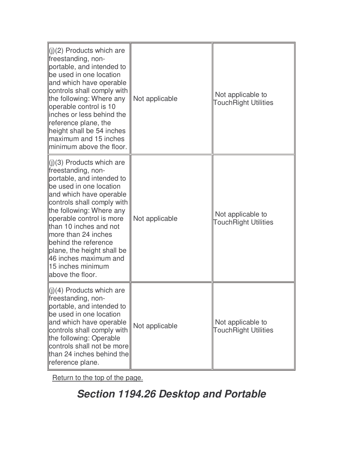| $\ $ (j)(2) Products which are<br>freestanding, non-<br>portable, and intended to<br>be used in one location<br>and which have operable<br>controls shall comply with<br>the following: Where any<br>operable control is 10<br>inches or less behind the<br>reference plane, the<br>height shall be 54 inches<br>maximum and 15 inches<br>minimum above the floor.                                              | Not applicable | Not applicable to<br><b>TouchRight Utilities</b> |
|-----------------------------------------------------------------------------------------------------------------------------------------------------------------------------------------------------------------------------------------------------------------------------------------------------------------------------------------------------------------------------------------------------------------|----------------|--------------------------------------------------|
| $\ $ (j)(3) Products which are<br>freestanding, non-<br>portable, and intended to<br>be used in one location<br>and which have operable<br>controls shall comply with<br>the following: Where any<br>operable control is more<br>than 10 inches and not<br>more than 24 inches<br>behind the reference<br>plane, the height shall be<br>46 inches maximum and<br><u>ll15 inches minimum</u><br>above the floor. | Not applicable | Not applicable to<br><b>TouchRight Utilities</b> |
| $\ $ (j)(4) Products which are<br>freestanding, non-<br>portable, and intended to<br>be used in one location<br>and which have operable<br>controls shall comply with<br>the following: Operable<br>controls shall not be more<br>than 24 inches behind the<br>reference plane.                                                                                                                                 | Not applicable | Not applicable to<br><b>TouchRight Utilities</b> |

## **Section 1194.26 Desktop and Portable**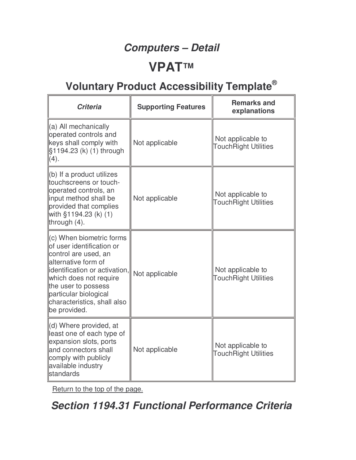### **Computers – Detail**

### **VPAT™**

## **Voluntary Product Accessibility Template®**

| <b>Criteria</b>                                                                                                                                                                                                                                                  | <b>Supporting Features</b> | <b>Remarks and</b><br>explanations               |
|------------------------------------------------------------------------------------------------------------------------------------------------------------------------------------------------------------------------------------------------------------------|----------------------------|--------------------------------------------------|
| (a) All mechanically<br>operated controls and<br>keys shall comply with<br>§1194.23 (k) (1) through<br>(4).                                                                                                                                                      | Not applicable             | Not applicable to<br><b>TouchRight Utilities</b> |
| (b) If a product utilizes<br>touchscreens or touch-<br>operated controls, an<br>input method shall be<br>provided that complies<br>with §1194.23 (k) (1)<br>through $(4)$ .                                                                                      | Not applicable             | Not applicable to<br><b>TouchRight Utilities</b> |
| $(c)$ When biometric forms<br>of user identification or<br>control are used, an<br>alternative form of<br>identification or activation,<br>which does not require<br>the user to possess<br>particular biological<br>characteristics, shall also<br>be provided. | Not applicable             | Not applicable to<br><b>TouchRight Utilities</b> |
| (d) Where provided, at<br>least one of each type of<br>expansion slots, ports<br>and connectors shall<br>comply with publicly<br>available industry<br><b>standards</b>                                                                                          | Not applicable             | Not applicable to<br><b>TouchRight Utilities</b> |

Return to the top of the page.

### **Section 1194.31 Functional Performance Criteria**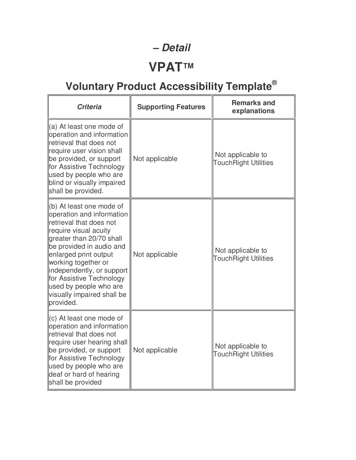#### **– Detail**

## **VPAT™**

| <b>Criteria</b>                                                                                                                                                                                                                                                                                                                                             | <b>Supporting Features</b> | <b>Remarks and</b><br>explanations               |
|-------------------------------------------------------------------------------------------------------------------------------------------------------------------------------------------------------------------------------------------------------------------------------------------------------------------------------------------------------------|----------------------------|--------------------------------------------------|
| $\vert$ (a) At least one mode of<br>operation and information<br>retrieval that does not<br>require user vision shall<br>be provided, or support<br>for Assistive Technology<br>used by people who are<br>blind or visually impaired<br>shall be provided.                                                                                                  | Not applicable             | Not applicable to<br><b>TouchRight Utilities</b> |
| $\parallel$ (b) At least one mode of<br>operation and information<br>retrieval that does not<br>require visual acuity<br>greater than 20/70 shall<br>be provided in audio and<br>enlarged print output<br>working together or<br>independently, or support<br>for Assistive Technology<br>used by people who are<br>visually impaired shall be<br>provided. | Not applicable             | Not applicable to<br><b>TouchRight Utilities</b> |
| $\parallel$ (c) At least one mode of<br>operation and information<br>retrieval that does not<br>require user hearing shall<br>be provided, or support<br>for Assistive Technology<br>used by people who are<br>deaf or hard of hearing<br>shall be provided                                                                                                 | Not applicable             | Not applicable to<br><b>TouchRight Utilities</b> |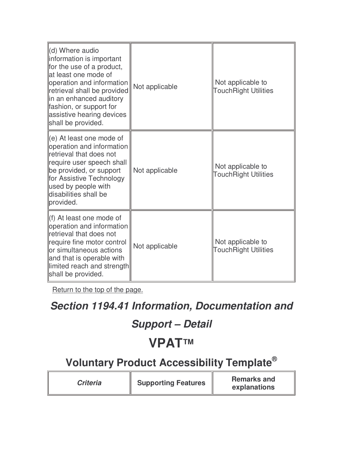| (d) Where audio<br>information is important<br>for the use of a product,<br>lat least one mode of<br>operation and information<br>retrieval shall be provided<br>in an enhanced auditory<br>fashion, or support for<br>assistive hearing devices<br>shall be provided. | Not applicable | Not applicable to<br><b>TouchRight Utilities</b> |
|------------------------------------------------------------------------------------------------------------------------------------------------------------------------------------------------------------------------------------------------------------------------|----------------|--------------------------------------------------|
| $\left\vert (e) \right\rangle$ At least one mode of<br>operation and information<br>retrieval that does not<br>require user speech shall<br>be provided, or support<br>for Assistive Technology<br>used by people with<br>disabilities shall be<br>provided.           | Not applicable | Not applicable to<br><b>TouchRight Utilities</b> |
| (f) At least one mode of<br>operation and information<br>retrieval that does not<br>require fine motor control<br>lor simultaneous actions<br>and that is operable with<br>limited reach and strength<br>shall be provided.                                            | Not applicable | Not applicable to<br><b>TouchRight Utilities</b> |

#### **Section 1194.41 Information, Documentation and**

#### **Support – Detail**

## **VPAT™**

| <b>Criteria</b> | <b>Supporting Features</b> | <b>Remarks and</b><br>explanations |
|-----------------|----------------------------|------------------------------------|
|-----------------|----------------------------|------------------------------------|